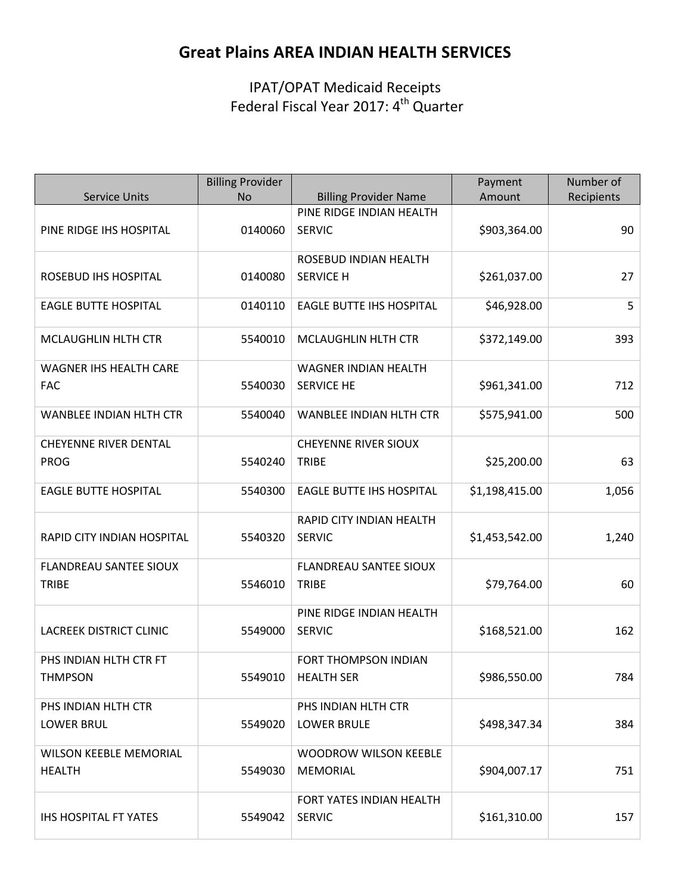# **Great Plains AREA INDIAN HEALTH SERVICES**

IPAT/OPAT Medicaid Receipts Federal Fiscal Year 2017: 4<sup>th</sup> Quarter

|                                                | <b>Billing Provider</b> |                                                  | Payment        | Number of  |
|------------------------------------------------|-------------------------|--------------------------------------------------|----------------|------------|
| <b>Service Units</b>                           | <b>No</b>               | <b>Billing Provider Name</b>                     | Amount         | Recipients |
| PINE RIDGE IHS HOSPITAL                        | 0140060                 | PINE RIDGE INDIAN HEALTH<br><b>SERVIC</b>        | \$903,364.00   | 90         |
| ROSEBUD IHS HOSPITAL                           | 0140080                 | ROSEBUD INDIAN HEALTH<br><b>SERVICE H</b>        | \$261,037.00   | 27         |
| <b>EAGLE BUTTE HOSPITAL</b>                    | 0140110                 | <b>EAGLE BUTTE IHS HOSPITAL</b>                  | \$46,928.00    | 5          |
| MCLAUGHLIN HLTH CTR                            | 5540010                 | MCLAUGHLIN HLTH CTR                              | \$372,149.00   | 393        |
| <b>WAGNER IHS HEALTH CARE</b><br><b>FAC</b>    | 5540030                 | <b>WAGNER INDIAN HEALTH</b><br><b>SERVICE HE</b> | \$961,341.00   | 712        |
| <b>WANBLEE INDIAN HLTH CTR</b>                 | 5540040                 | <b>WANBLEE INDIAN HLTH CTR</b>                   | \$575,941.00   | 500        |
| <b>CHEYENNE RIVER DENTAL</b>                   |                         | <b>CHEYENNE RIVER SIOUX</b>                      |                |            |
| <b>PROG</b>                                    | 5540240                 | <b>TRIBE</b>                                     | \$25,200.00    | 63         |
| <b>EAGLE BUTTE HOSPITAL</b>                    | 5540300                 | <b>EAGLE BUTTE IHS HOSPITAL</b>                  | \$1,198,415.00 | 1,056      |
| RAPID CITY INDIAN HOSPITAL                     | 5540320                 | RAPID CITY INDIAN HEALTH<br><b>SERVIC</b>        | \$1,453,542.00 | 1,240      |
| <b>FLANDREAU SANTEE SIOUX</b><br><b>TRIBE</b>  | 5546010                 | <b>FLANDREAU SANTEE SIOUX</b><br><b>TRIBE</b>    | \$79,764.00    | 60         |
| <b>LACREEK DISTRICT CLINIC</b>                 | 5549000                 | PINE RIDGE INDIAN HEALTH<br><b>SERVIC</b>        | \$168,521.00   | 162        |
| PHS INDIAN HLTH CTR FT<br><b>THMPSON</b>       | 5549010                 | FORT THOMPSON INDIAN<br><b>HEALTH SER</b>        | \$986,550.00   | 784        |
| PHS INDIAN HLTH CTR<br><b>LOWER BRUL</b>       | 5549020                 | PHS INDIAN HLTH CTR<br><b>LOWER BRULE</b>        | \$498,347.34   | 384        |
| <b>WILSON KEEBLE MEMORIAL</b><br><b>HEALTH</b> | 5549030                 | <b>WOODROW WILSON KEEBLE</b><br><b>MEMORIAL</b>  | \$904,007.17   | 751        |
| <b>IHS HOSPITAL FT YATES</b>                   | 5549042                 | FORT YATES INDIAN HEALTH<br><b>SERVIC</b>        | \$161,310.00   | 157        |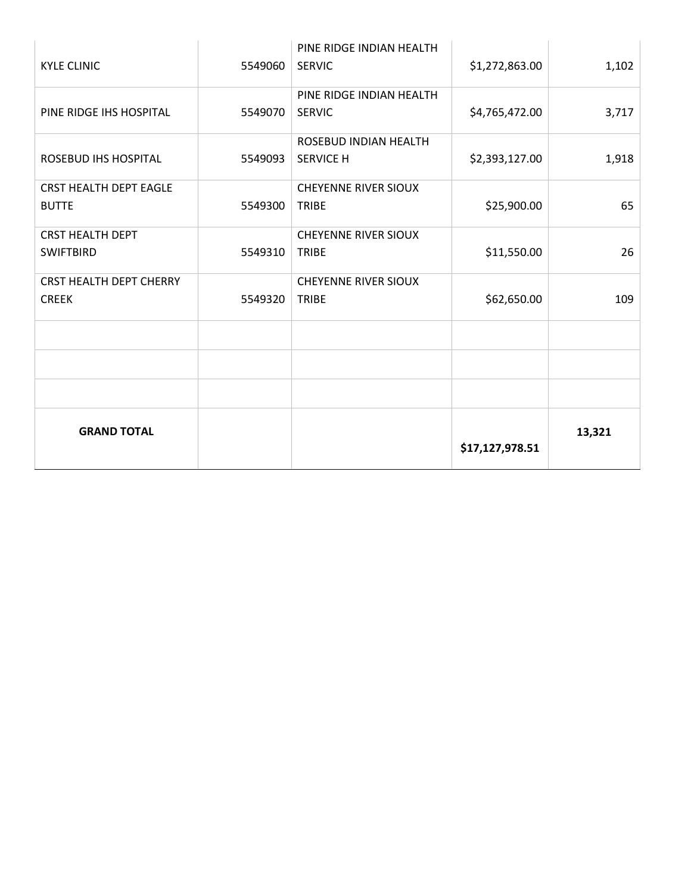| <b>KYLE CLINIC</b>             | 5549060 | PINE RIDGE INDIAN HEALTH<br><b>SERVIC</b> | \$1,272,863.00  | 1,102  |
|--------------------------------|---------|-------------------------------------------|-----------------|--------|
| PINE RIDGE IHS HOSPITAL        | 5549070 | PINE RIDGE INDIAN HEALTH<br><b>SERVIC</b> | \$4,765,472.00  | 3,717  |
|                                |         |                                           |                 |        |
|                                |         | ROSEBUD INDIAN HEALTH                     |                 |        |
| <b>ROSEBUD IHS HOSPITAL</b>    | 5549093 | <b>SERVICE H</b>                          | \$2,393,127.00  | 1,918  |
| <b>CRST HEALTH DEPT EAGLE</b>  |         | <b>CHEYENNE RIVER SIOUX</b>               |                 |        |
| <b>BUTTE</b>                   | 5549300 | <b>TRIBE</b>                              | \$25,900.00     | 65     |
| <b>CRST HEALTH DEPT</b>        |         | <b>CHEYENNE RIVER SIOUX</b>               |                 |        |
| <b>SWIFTBIRD</b>               | 5549310 | <b>TRIBE</b>                              | \$11,550.00     | 26     |
| <b>CRST HEALTH DEPT CHERRY</b> |         | <b>CHEYENNE RIVER SIOUX</b>               |                 |        |
| <b>CREEK</b>                   | 5549320 | <b>TRIBE</b>                              | \$62,650.00     | 109    |
|                                |         |                                           |                 |        |
|                                |         |                                           |                 |        |
|                                |         |                                           |                 |        |
|                                |         |                                           |                 |        |
| <b>GRAND TOTAL</b>             |         |                                           | \$17,127,978.51 | 13,321 |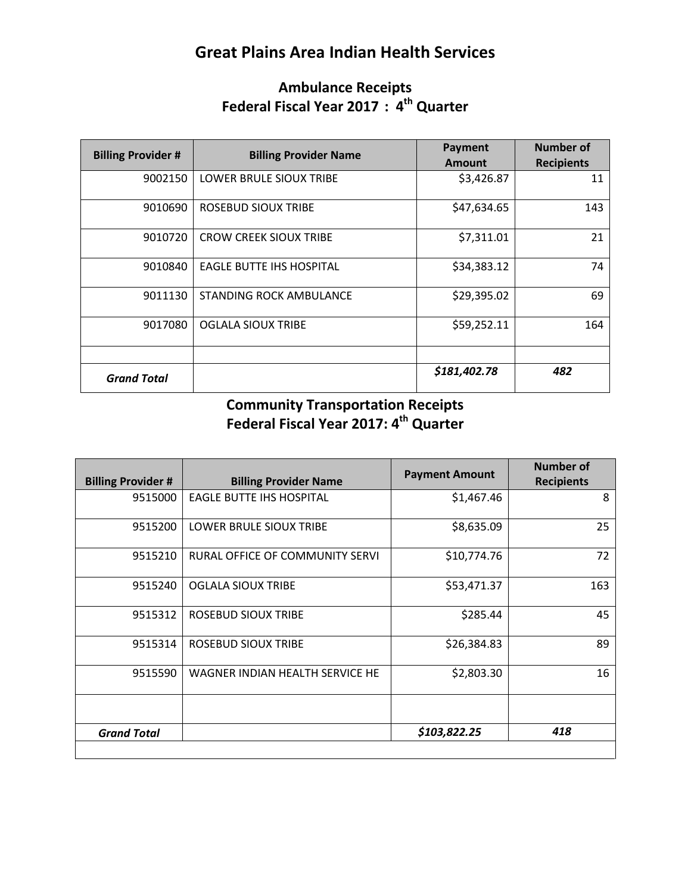# **Great Plains Area Indian Health Services**

#### **Ambulance Receipts Federal Fiscal Year 2017 : 4th Quarter**

| <b>Billing Provider #</b> | <b>Billing Provider Name</b>    | Payment<br><b>Amount</b> | Number of<br><b>Recipients</b> |
|---------------------------|---------------------------------|--------------------------|--------------------------------|
| 9002150                   | <b>LOWER BRULE SIOUX TRIBE</b>  | \$3,426.87               | 11                             |
| 9010690                   | ROSEBUD SIOUX TRIBE             | \$47,634.65              | 143                            |
| 9010720                   | <b>CROW CREEK SIOUX TRIBE</b>   | \$7,311.01               | 21                             |
| 9010840                   | <b>EAGLE BUTTE IHS HOSPITAL</b> | \$34,383.12              | 74                             |
| 9011130                   | <b>STANDING ROCK AMBULANCE</b>  | \$29,395.02              | 69                             |
| 9017080                   | <b>OGLALA SIOUX TRIBE</b>       | \$59,252.11              | 164                            |
|                           |                                 |                          |                                |
| <b>Grand Total</b>        |                                 | \$181,402.78             | 482                            |

#### **Community Transportation Receipts Federal Fiscal Year 2017: 4th Quarter**

|                           |                                 | <b>Payment Amount</b> | <b>Number of</b>  |
|---------------------------|---------------------------------|-----------------------|-------------------|
| <b>Billing Provider #</b> | <b>Billing Provider Name</b>    |                       | <b>Recipients</b> |
| 9515000                   | <b>EAGLE BUTTE IHS HOSPITAL</b> | \$1,467.46            | 8                 |
| 9515200                   | LOWER BRULE SIOUX TRIBE         | \$8,635.09            | 25                |
| 9515210                   | RURAL OFFICE OF COMMUNITY SERVI | \$10,774.76           | 72                |
| 9515240                   | <b>OGLALA SIOUX TRIBE</b>       | \$53,471.37           | 163               |
| 9515312                   | <b>ROSEBUD SIOUX TRIBE</b>      | \$285.44              | 45                |
| 9515314                   | ROSEBUD SIOUX TRIBE             | \$26,384.83           | 89                |
| 9515590                   | WAGNER INDIAN HEALTH SERVICE HE | \$2,803.30            | 16                |
| <b>Grand Total</b>        |                                 | \$103,822.25          | 418               |
|                           |                                 |                       |                   |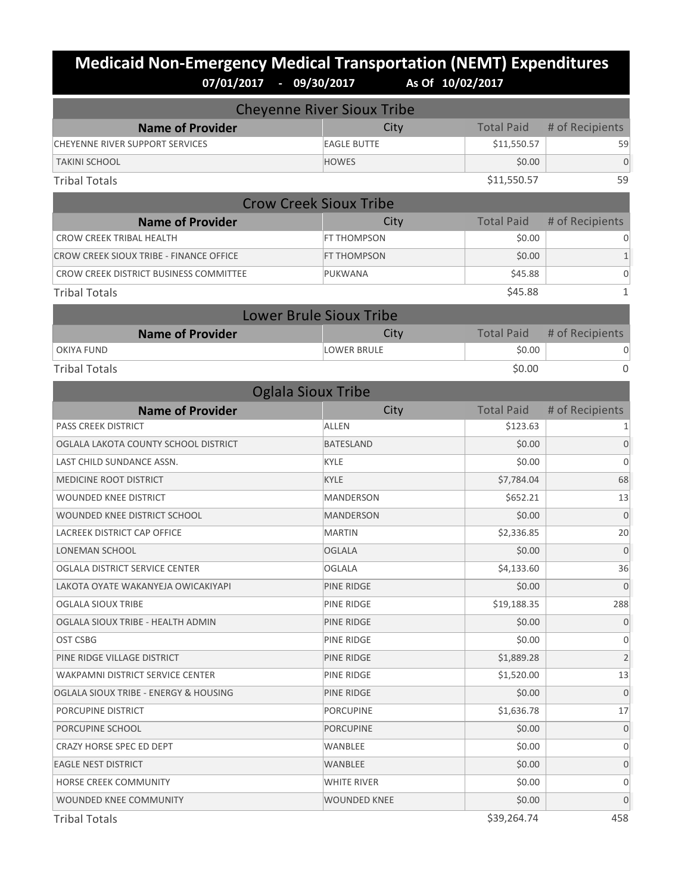# **Medicaid Non-Emergency Medical Transportation (NEMT) Expenditures**<br>07/01/2017 - 09/30/2017 As of 10/02/2017 **07/01/2017 - 09/30/2017 As Of 10/02/2017**

| <b>Cheyenne River Sioux Tribe</b>       |                                |                   |                 |  |
|-----------------------------------------|--------------------------------|-------------------|-----------------|--|
| <b>Name of Provider</b>                 | City                           | <b>Total Paid</b> | # of Recipients |  |
| CHEYENNE RIVER SUPPORT SERVICES         | <b>EAGLE BUTTE</b>             | \$11,550.57       | 59              |  |
| <b>TAKINI SCHOOL</b>                    | <b>HOWES</b>                   | \$0.00            | $\overline{0}$  |  |
| <b>Tribal Totals</b>                    |                                | \$11,550.57       | 59              |  |
|                                         | <b>Crow Creek Sioux Tribe</b>  |                   |                 |  |
| <b>Name of Provider</b>                 | City                           | <b>Total Paid</b> | # of Recipients |  |
| <b>CROW CREEK TRIBAL HEALTH</b>         | <b>FT THOMPSON</b>             | \$0.00            | 0               |  |
| CROW CREEK SIOUX TRIBE - FINANCE OFFICE | FT THOMPSON                    | \$0.00            | $1\,$           |  |
| CROW CREEK DISTRICT BUSINESS COMMITTEE  | PUKWANA                        | \$45.88           | $\mathbf 0$     |  |
| <b>Tribal Totals</b>                    |                                | \$45.88           | $\mathbf{1}$    |  |
|                                         | <b>Lower Brule Sioux Tribe</b> |                   |                 |  |
| <b>Name of Provider</b>                 | City                           | <b>Total Paid</b> | # of Recipients |  |
| <b>OKIYA FUND</b>                       | <b>LOWER BRULE</b>             | \$0.00            | 0               |  |
| <b>Tribal Totals</b>                    |                                | \$0.00            | $\Omega$        |  |
|                                         | <b>Oglala Sioux Tribe</b>      |                   |                 |  |
| <b>Name of Provider</b>                 | City                           | <b>Total Paid</b> | # of Recipients |  |
| <b>PASS CREEK DISTRICT</b>              | <b>ALLEN</b>                   | \$123.63          | 1               |  |
| OGLALA LAKOTA COUNTY SCHOOL DISTRICT    | <b>BATESLAND</b>               | \$0.00            | $\overline{0}$  |  |
| LAST CHILD SUNDANCE ASSN.               | <b>KYLE</b>                    | \$0.00            | $\mathbf{0}$    |  |
| MEDICINE ROOT DISTRICT                  | <b>KYLE</b>                    | \$7,784.04        | 68              |  |
| <b>WOUNDED KNEE DISTRICT</b>            | <b>MANDERSON</b>               | \$652.21          | 13              |  |
| WOUNDED KNEE DISTRICT SCHOOL            | <b>MANDERSON</b>               | \$0.00            | $\overline{0}$  |  |
| LACREEK DISTRICT CAP OFFICE             | <b>MARTIN</b>                  | \$2,336.85        | 20              |  |
| LONEMAN SCHOOL                          | <b>OGLALA</b>                  | \$0.00            | $\Omega$        |  |
| OGLALA DISTRICT SERVICE CENTER          | <b>OGLALA</b>                  | \$4,133.60        | 36              |  |
| LAKOTA OYATE WAKANYEJA OWICAKIYAPI      | PINE RIDGE                     | \$0.00            | $\overline{0}$  |  |
| OGLALA SIOUX TRIBE                      | PINE RIDGE                     | \$19,188.35       | 288             |  |
| OGLALA SIOUX TRIBE - HEALTH ADMIN       | PINE RIDGE                     | \$0.00            | $\theta$        |  |
| OST CSBG                                | PINE RIDGE                     | \$0.00            | $\mathbf{0}$    |  |
| PINE RIDGE VILLAGE DISTRICT             | PINE RIDGE                     | \$1,889.28        | $\overline{2}$  |  |
| <b>WAKPAMNI DISTRICT SERVICE CENTER</b> | PINE RIDGE                     | \$1,520.00        | 13              |  |
| OGLALA SIOUX TRIBE - ENERGY & HOUSING   | PINE RIDGE                     | \$0.00            | $\overline{0}$  |  |
| PORCUPINE DISTRICT                      | <b>PORCUPINE</b>               | \$1,636.78        | 17              |  |
| PORCUPINE SCHOOL                        | <b>PORCUPINE</b>               | \$0.00            | $\mathbf 0$     |  |
| CRAZY HORSE SPEC ED DEPT                | WANBLEE                        | \$0.00            | 0               |  |
| <b>EAGLE NEST DISTRICT</b>              | WANBLEE                        | \$0.00            | $\mathbf{0}$    |  |
| HORSE CREEK COMMUNITY                   | WHITE RIVER                    | \$0.00            | 0               |  |
| WOUNDED KNEE COMMUNITY                  | WOUNDED KNEE                   | \$0.00            | $\mathbf 0$     |  |
|                                         |                                |                   |                 |  |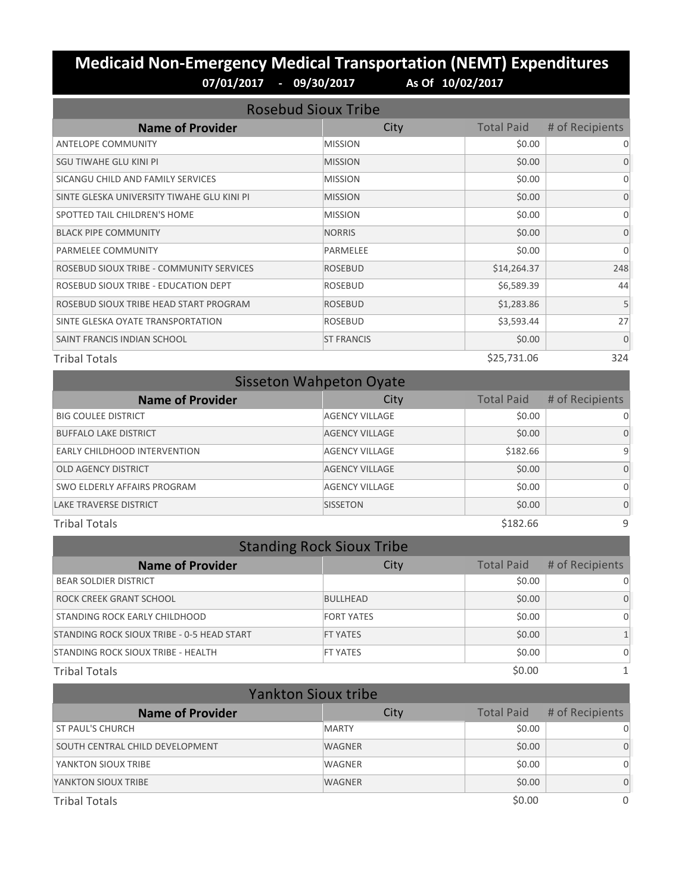#### **Medicaid Non-Emergency Medical Transportation (NEMT) Expenditures 07/01/2017 - 09/30/2017 As Of 10/02/2017**

| <b>Rosebud Sioux Tribe</b>                 |                   |                   |                 |
|--------------------------------------------|-------------------|-------------------|-----------------|
| <b>Name of Provider</b>                    | City              | <b>Total Paid</b> | # of Recipients |
| <b>ANTELOPE COMMUNITY</b>                  | <b>MISSION</b>    | \$0.00            | 0               |
| SGU TIWAHE GLU KINI PI                     | <b>MISSION</b>    | \$0.00            | $\Omega$        |
| SICANGU CHILD AND FAMILY SERVICES          | <b>MISSION</b>    | \$0.00            | $\Omega$        |
| SINTE GLESKA UNIVERSITY TIWAHE GLU KINI PI | <b>MISSION</b>    | \$0.00            | $\Omega$        |
| SPOTTED TAIL CHILDREN'S HOME               | <b>MISSION</b>    | \$0.00            | $\Omega$        |
| <b>BLACK PIPE COMMUNITY</b>                | <b>NORRIS</b>     | \$0.00            | $\Omega$        |
| PARMELEE COMMUNITY                         | <b>PARMELEE</b>   | \$0.00            | $\Omega$        |
| ROSEBUD SIOUX TRIBE - COMMUNITY SERVICES   | <b>ROSEBUD</b>    | \$14,264.37       | 248             |
| ROSEBUD SIOUX TRIBE - EDUCATION DEPT       | <b>ROSEBUD</b>    | \$6,589.39        | 44              |
| ROSEBUD SIOUX TRIBE HEAD START PROGRAM     | <b>ROSEBUD</b>    | \$1,283.86        | 5               |
| SINTE GLESKA OYATE TRANSPORTATION          | <b>ROSEBUD</b>    | \$3,593.44        | 27              |
| SAINT FRANCIS INDIAN SCHOOL                | <b>ST FRANCIS</b> | \$0.00            | $\mathbf{0}$    |
| <b>Tribal Totals</b>                       |                   | \$25,731.06       | 324             |

| <b>Sisseton Wahpeton Oyate</b> |                       |                   |                 |  |
|--------------------------------|-----------------------|-------------------|-----------------|--|
| <b>Name of Provider</b>        | City                  | <b>Total Paid</b> | # of Recipients |  |
| <b>BIG COULEE DISTRICT</b>     | <b>AGENCY VILLAGE</b> | \$0.00            | 0               |  |
| <b>BUFFALO LAKE DISTRICT</b>   | <b>AGENCY VILLAGE</b> | \$0.00            | $\Omega$        |  |
| EARLY CHILDHOOD INTERVENTION   | <b>AGENCY VILLAGE</b> | \$182.66          | 9               |  |
| <b>OLD AGENCY DISTRICT</b>     | <b>AGENCY VILLAGE</b> | \$0.00            | $\Omega$        |  |
| SWO ELDERLY AFFAIRS PROGRAM    | <b>AGENCY VILLAGE</b> | \$0.00            | $\Omega$        |  |
| <b>LAKE TRAVERSE DISTRICT</b>  | <b>SISSETON</b>       | \$0.00            | $\Omega$        |  |
| <b>Tribal Totals</b>           |                       | \$182.66          | 9               |  |

| <b>Standing Rock Sioux Tribe</b>           |                   |                   |                 |  |
|--------------------------------------------|-------------------|-------------------|-----------------|--|
| <b>Name of Provider</b>                    | City              | <b>Total Paid</b> | # of Recipients |  |
| <b>BEAR SOLDIER DISTRICT</b>               |                   | \$0.00            | $\Omega$        |  |
| ROCK CREEK GRANT SCHOOL                    | <b>BULLHEAD</b>   | \$0.00            | $\Omega$        |  |
| STANDING ROCK EARLY CHILDHOOD              | <b>FORT YATES</b> | \$0.00            | $\Omega$        |  |
| STANDING ROCK SIOUX TRIBE - 0-5 HEAD START | <b>FT YATES</b>   | \$0.00            |                 |  |
| STANDING ROCK SIOUX TRIBE - HEALTH         | <b>FT YATES</b>   | \$0.00            | $\Omega$        |  |
| <b>Tribal Totals</b>                       |                   | \$0.00            |                 |  |

| <b>Yankton Sioux tribe</b>      |               |                   |                 |
|---------------------------------|---------------|-------------------|-----------------|
| <b>Name of Provider</b>         | City          | <b>Total Paid</b> | # of Recipients |
| <b>ST PAUL'S CHURCH</b>         | <b>MARTY</b>  | \$0.00            |                 |
| SOUTH CENTRAL CHILD DEVELOPMENT | <b>WAGNER</b> | \$0.00            | $\Omega$        |
| YANKTON SIOUX TRIBE             | <b>WAGNER</b> | \$0.00            | 0               |
| YANKTON SIOUX TRIBE             | <b>WAGNER</b> | \$0.00            | $\Omega$        |
| <b>Tribal Totals</b>            |               | \$0.00            | $\Omega$        |